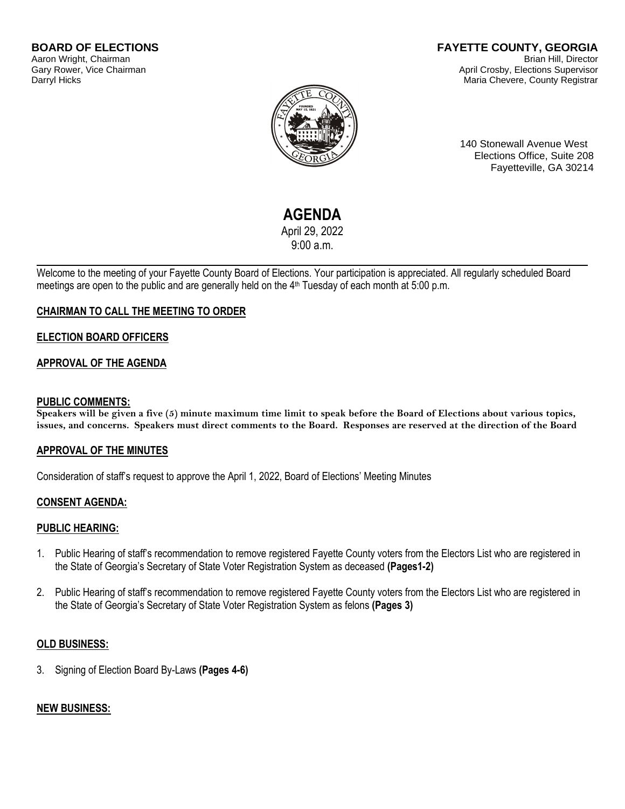#### **BOARD OF ELECTIONS** Aaron Wright, Chairman Gary Rower, Vice Chairman Darryl Hicks

#### **FAYETTE COUNTY, GEORGIA** Brian Hill, Director April Crosby, Elections Supervisor Maria Chevere, County Registrar



140 Stonewall Avenue West Elections Office, Suite 208 Fayetteville, GA 30214

# **AGENDA**

April 29, 2022 9:00 a.m.

Welcome to the meeting of your Fayette County Board of Elections. Your participation is appreciated. All regularly scheduled Board meetings are open to the public and are generally held on the 4<sup>th</sup> Tuesday of each month at 5:00 p.m.

# **CHAIRMAN TO CALL THE MEETING TO ORDER**

## **ELECTION BOARD OFFICERS**

## **APPROVAL OF THE AGENDA**

## **PUBLIC COMMENTS:**

**Speakers will be given a five (5) minute maximum time limit to speak before the Board of Elections about various topics, issues, and concerns. Speakers must direct comments to the Board. Responses are reserved at the direction of the Board**

## **APPROVAL OF THE MINUTES**

Consideration of staff's request to approve the April 1, 2022, Board of Elections' Meeting Minutes

## **CONSENT AGENDA:**

## **PUBLIC HEARING:**

- 1. Public Hearing of staff's recommendation to remove registered Fayette County voters from the Electors List who are registered in the State of Georgia's Secretary of State Voter Registration System as deceased **(Pages1-2)**
- 2. Public Hearing of staff's recommendation to remove registered Fayette County voters from the Electors List who are registered in the State of Georgia's Secretary of State Voter Registration System as felons **(Pages 3)**

## **OLD BUSINESS:**

3. Signing of Election Board By-Laws **(Pages 4-6)**

## **NEW BUSINESS:**